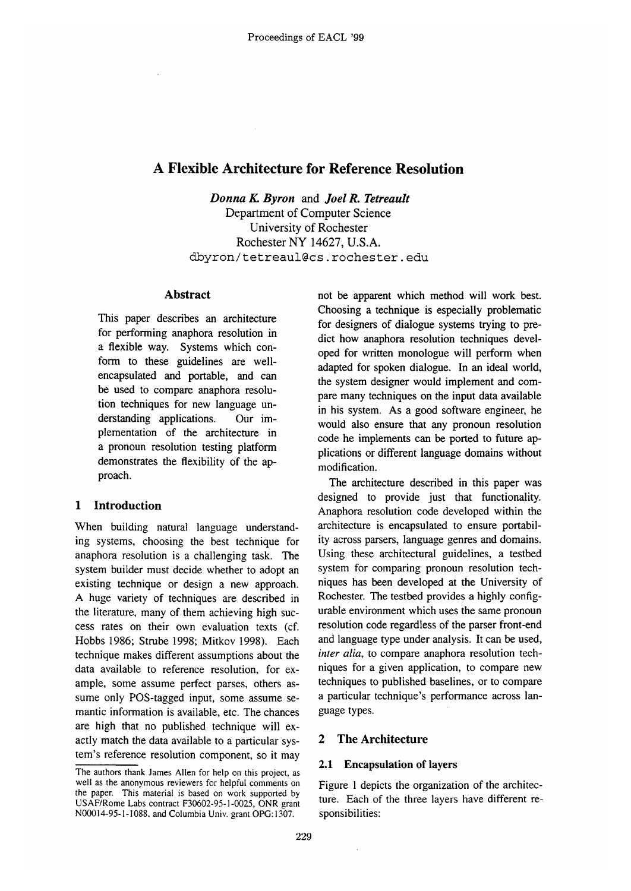# **A Flexible Architecture for Reference Resolution**

*Donna K. Byron* and *Joel R. Tetreault*  Department of Computer Science University of Rochester Rochester NY 14627, U.S.A. dbyron/tetreaul@cs, rochester, edu

## **Abstract**

This paper describes an architecture for performing anaphora resolution in a flexible way. Systems which conform to these guidelines are wellencapsulated and portable, and can be used to compare anaphora resolution techniques for new language understanding applications. Our implementation of the architecture in a pronoun resolution testing platform demonstrates the flexibility of the approach.

# **1 Introduction**

When building natural language understanding systems, choosing the best technique for anaphora resolution is a challenging task. The system builder must decide whether to adopt an existing technique or design a new approach. A huge variety of techniques are described in the literature, many of them achieving high success rates on their own evaluation texts (cf. Hobbs 1986; Strube 1998; Mitkov 1998). Each technique makes different assumptions about the data available to reference resolution, for example, some assume perfect parses, others assume only POS-tagged input, some assume semantic information is available, etc. The chances are high that no published technique will exactly match the data available to a particular system's reference resolution component, so it may not be apparent which method will work best. Choosing a technique is especially problematic for designers of dialogue systems trying to predict how anaphora resolution techniques developed for written monologue will perform when adapted for spoken dialogue. In an ideal world, the system designer would implement and compare many techniques on the input data available in his system. As a good software engineer, he would also ensure that any pronoun resolution code he implements can be ported to future applications or different language domains without modification.

The architecture described in this paper was designed to provide just that functionality. Anaphora resolution code developed within the architecture is encapsulated to ensure portability across parsers, language genres and domains. Using these architectural guidelines, a testbed system for comparing pronoun resolution techniques has been developed at the University of Rochester. The testbed provides a highly configurable environment which uses the same pronoun resolution code regardless of the parser front-end and language type under analysis. It can be used, *inter alia,* to compare anaphora resolution techniques for a given application, to compare new techniques to published baselines, or to compare a particular technique's performance across language types.

### **2 The Architecture**

# **2.1 Encapsulation of layers**

Figure 1 depicts the organization of the architecture. Each of the three layers have different responsibilities:

The authors thank James Allen for help on this project, as well as the anonymous reviewers for helpful comments on the paper. This material is based on work supported by USAF/Rome Labs contract F30602-95-1-0025, ONR grant N00014-95-1 - 1088, and Columbia Univ. grant OPG: 1307.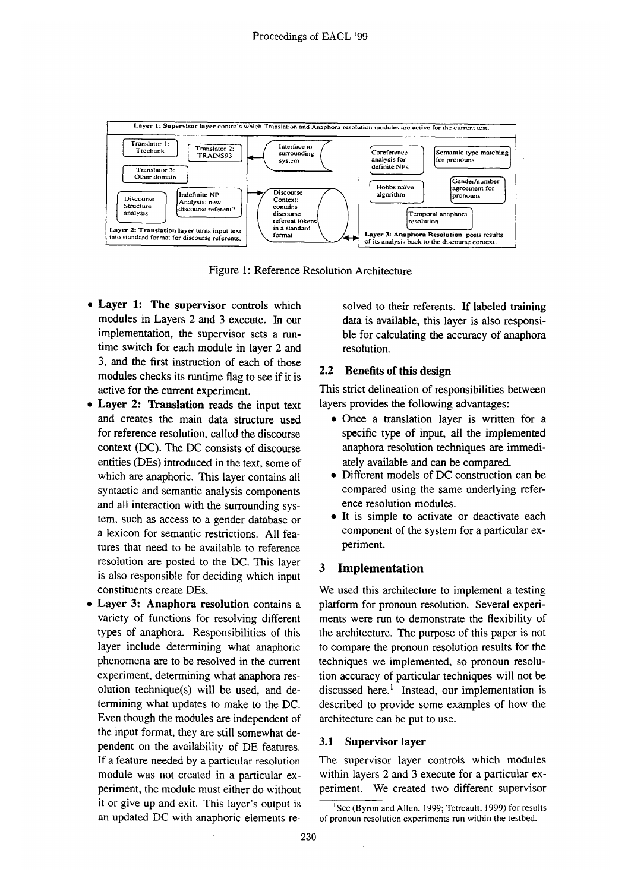

Figure 1: Reference Resolution Architecture

- Layer 1: **The supervisor** controls which modules in Layers 2 and 3 execute, In our implementation, the supervisor sets a runtime switch for each module in layer 2 and 3, and the first instruction of each of those modules checks its runtime flag to see if it is active for the current experiment.
- Layer 2: Translation reads the input text and creates the main data structure used for reference resolution, called the discourse context (DC). The DC consists of discourse entities (DEs) introduced in the text, some of which are anaphoric. This layer contains all syntactic and semantic analysis components and all interaction with the surrounding system, such as access to a gender database or a lexicon for semantic restrictions. All features that need to be available to reference resolution are posted to the DC. This layer is also responsible for deciding which input constituents create DEs.
- Layer 3: Anaphora resolution contains a variety of functions for resolving different types of anaphora. Responsibilities of this layer include determining what anaphoric phenomena are to be resolved in the current experiment, determining what anaphora resolution technique(s) will be used, and determining what updates to make to the DC. Even though the modules are independent of the input format, they are still somewhat dependent on the availability of DE features. If a feature needed by a particular resolution module was not created in a particular experiment, the module must either do without it or give up and exit. This layer's output is an updated DC with anaphoric elements re-

solved to their referents. If labeled training data is available, this layer is also responsible for calculating the accuracy of anaphora resolution.

#### **2.2 Benefits of this design**

This strict delineation of responsibilities between layers provides the following advantages:

- Once a translation layer is written for a specific type of input, all the implemented anaphora resolution techniques are immediately available and can be compared.
- Different models of DC construction can be compared using the same underlying reference resolution modules.
- It is simple to activate or deactivate each component of the system for a particular experiment.

#### **3 Implementation**

We used this architecture to implement a testing platform for pronoun resolution. Several experiments were run to demonstrate the flexibility of the architecture. The purpose of this paper is not to compare the pronoun resolution results for the techniques we implemented, so pronoun resolution accuracy of particular techniques will not be discussed here.<sup>1</sup> Instead, our implementation is described to provide some examples of how the architecture can be put to use.

#### 3.1 Supervisor layer

The supervisor layer controls which modules within layers 2 and 3 execute for a particular experiment. We created two different supervisor

<sup>&</sup>lt;sup>1</sup>See (Byron and Allen, 1999; Tetreault, 1999) for results of pronoun resolution experiments run within the testbed.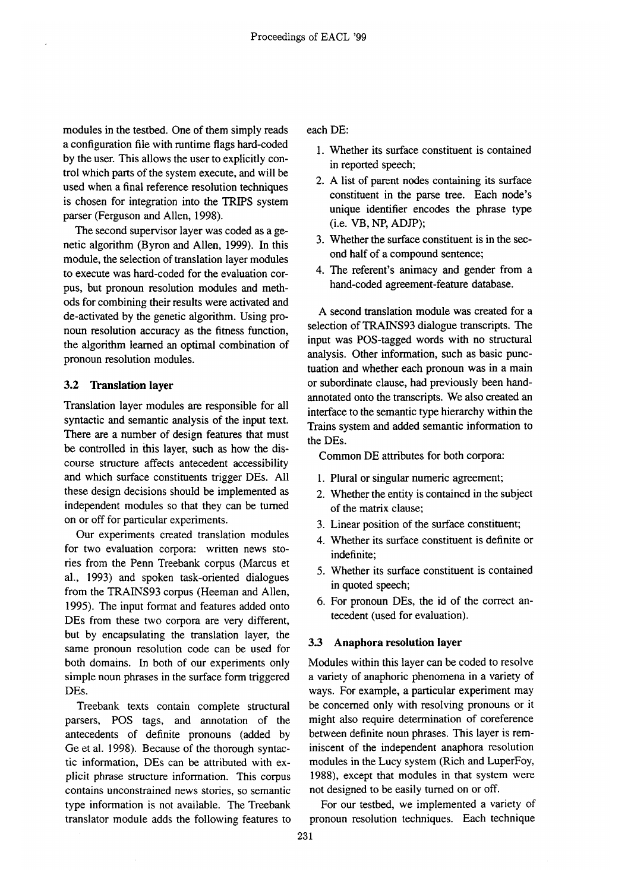modules in the testbed. One of them simply reads a configuration file with runtime flags hard-coded by the user. This allows the user to explicitly control which parts of the system execute, and will be used when a final reference resolution techniques is chosen for integration into the TRIPS system parser (Ferguson and Allen, 1998).

The second supervisor layer was coded as a genetic algorithm (Byron and Allen, 1999). In this module, the selection of translation layer modules to execute was hard-coded for the evaluation corpus, but pronoun resolution modules and methods for combining their results were activated and de-activated by the genetic algorithm. Using pronoun resolution accuracy as the fitness function, the algorithm learned an optimal combination of pronoun resolution modules.

#### **3.2 Translation layer**

Translation layer modules are responsible for all syntactic and semantic analysis of the input text. There are a number of design features that must be controlled in this layer, such as how the discourse structure affects antecedent accessibility and which surface constituents trigger DEs. All these design decisions should be implemented as independent modules so that they can be turned on or off for particular experiments.

Our experiments created translation modules for two evaluation corpora: written news stories from the Penn Treebank corpus (Marcus et al., 1993) and spoken task-oriented dialogues from the TRAINS93 corpus (Heeman and Allen, 1995). The input format and features added onto DEs from these two corpora are very different, but by encapsulating the translation layer, the same pronoun resolution code can be used for both domains. In both of our experiments only simple noun phrases in the surface form triggered DEs.

Treebank texts contain complete structural parsers, POS tags, and annotation of the antecedents of definite pronouns (added by Ge et al. 1998). Because of the thorough syntactic information, DEs can be attributed with explicit phrase structure information. This corpus contains unconstrained news stories, so semantic type information is not available. The Treebank translator module adds the following features to each DE:

- 1. Whether its surface constituent is contained in reported speech;
- 2. A list of parent nodes containing its surface constituent in the parse tree. Each node's unique identifier encodes the phrase type (i.e. VB, NP, ADJP);
- 3. Whether the surface constituent is in the second half of a compound sentence;
- 4. The referent's animacy and gender from a hand-coded agreement-feature database.

A second translation module was created for a selection of TRAINS93 dialogue transcripts. The input was POS-tagged words with no structural analysis. Other information, such as basic punctuation and whether each pronoun was in a main or subordinate clause, had previously been handannotated onto the transcripts. We also created an interface to the semantic type hierarchy within the Trains system and added semantic information to the DEs.

Common DE attributes for both corpora:

- I. Plural or singular numeric agreement;
- 2. Whether the entity is contained in the subject of the matrix clause;
- 3. Linear position of the surface constituent;
- 4. Whether its surface constituent is definite or indefinite;
- 5. Whether its surface constituent is contained in quoted speech;
- 6. For pronoun DEs, the id of the correct antecedent (used for evaluation).

#### **3.3 Anaphora resolution layer**

Modules within this layer can be coded to resolve a variety of anaphoric phenomena in a variety of ways. For example, a particular experiment may be concerned only with resolving pronouns or it might also require determination of coreference between definite noun phrases. This layer is reminiscent of the independent anaphora resolution modules in the Lucy system (Rich and LuperFoy, 1988), except that modules in that system were not designed to be easily turned on or off.

For our testbed, we implemented a variety of pronoun resolution techniques. Each technique